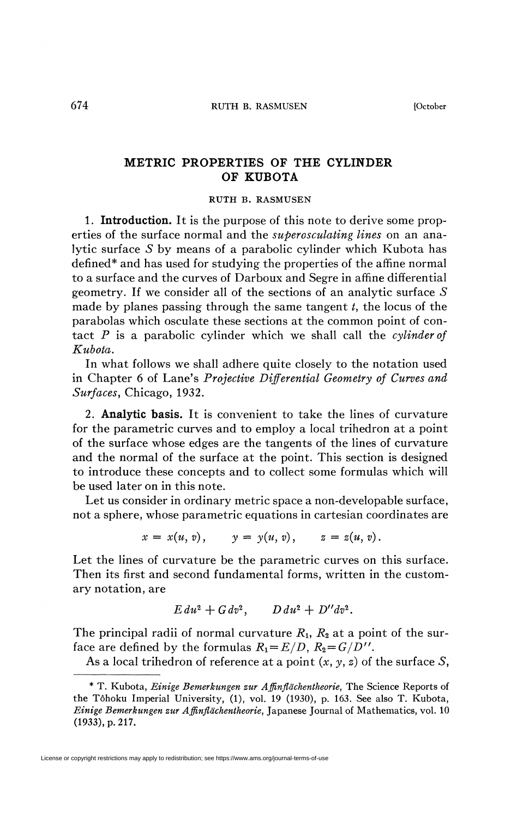## **METRIC PROPERTIES OF THE CYLINDER OF KUBOTA**

## RUTH B. RASMUSEN

**1. Introduction.** It is the purpose of this note to derive some properties of the surface normal and the *superosculating lines* on an analytic surface *S* by means of a parabolic cylinder which Kubota has defined\* and has used for studying the properties of the affine normal to a surface and the curves of Darboux and Segre in affine differential geometry. If we consider all of the sections of an analytic surface 5 made by planes passing through the same tangent *t,* the locus of the parabolas which osculate these sections at the common point of contact *P* is a parabolic cylinder which we shall call the *cylinder of Kubota.* 

In what follows we shall adhere quite closely to the notation used in Chapter 6 of Lane's *Projective Differential Geometry of Curves and Surfaces,* Chicago, 1932.

2. **Analytic basis.** It is convenient to take the lines of curvature for the parametric curves and to employ a local trihedron at a point of the surface whose edges are the tangents of the lines of curvature and the normal of the surface at the point. This section is designed to introduce these concepts and to collect some formulas which will be used later on in this note.

Let us consider in ordinary metric space a non-developable surface, not a sphere, whose parametric equations in cartesian coordinates are

$$
x = x(u, v),
$$
  $y = y(u, v),$   $z = z(u, v).$ 

Let the lines of curvature be the parametric curves on this surface. Then its first and second fundamental forms, written in the customary notation, are

$$
E du^2 + G dv^2, \qquad D du^2 + D'' dv^2.
$$

The principal radii of normal curvature  $R_1$ ,  $R_2$  at a point of the surface are defined by the formulas  $R_1 = E/D$ ,  $R_2 = G/D''$ .

As a local trihedron of reference at a point *(x, y, z)* of the surface *S,* 

<sup>\*</sup> T. Kubota, *Einige Bemerkungen zur Affinflachentheorie,* The Science Reports of the Tôhoku Imperial University, (1), vol. 19 (1930), p. 163. See also T. Kubota, *Einige Bemerkungen zur Affinflachentheorie,* Japanese Journal of Mathematics, vol. 10 (1933), p. 217.

License or copyright restrictions may apply to redistribution; see https://www.ams.org/journal-terms-of-use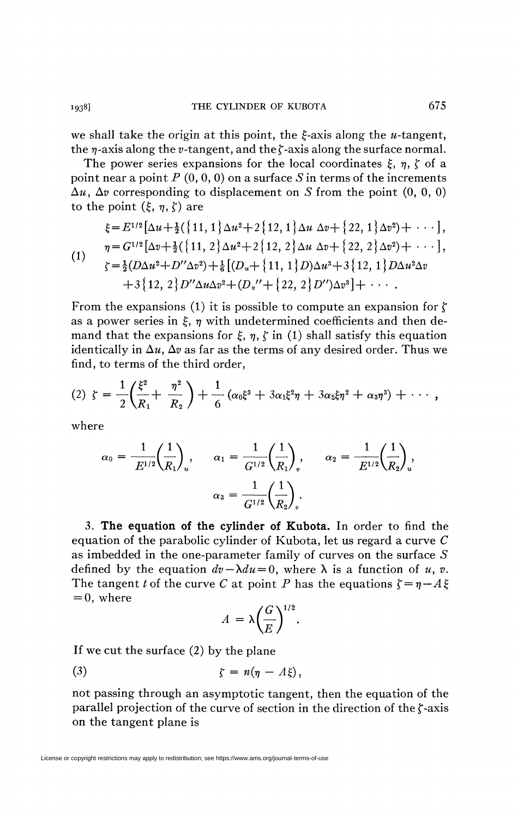we shall take the origin at this point, the  $\xi$ -axis along the *u*-tangent, the  $\eta$ -axis along the *v*-tangent, and the  $\zeta$ -axis along the surface normal.

The power series expansions for the local coordinates  $\xi$ ,  $\eta$ ,  $\zeta$  of a point near a point  $P(0, 0, 0)$  on a surface S in terms of the increments  $\Delta u$ ,  $\Delta v$  corresponding to displacement on S from the point  $(0, 0, 0)$ to the point  $(\xi, \eta, \zeta)$  are

$$
\xi = E^{1/2} \left[ \Delta u + \frac{1}{2} \left\{ 11, 1 \right\} \Delta u^2 + 2 \left\{ 12, 1 \right\} \Delta u \, \Delta v + \left\{ 22, 1 \right\} \Delta v^2 \right) + \cdots \right],
$$
\n
$$
\eta = G^{1/2} \left[ \Delta v + \frac{1}{2} \left\{ 11, 2 \right\} \Delta u^2 + 2 \left\{ 12, 2 \right\} \Delta u \, \Delta v + \left\{ 22, 2 \right\} \Delta v^2 \right) + \cdots \right],
$$
\n
$$
\zeta = \frac{1}{2} (D \Delta u^2 + D'' \Delta v^2) + \frac{1}{6} \left[ (D_u + \left\{ 11, 1 \right\} D) \Delta u^3 + 3 \left\{ 12, 1 \right\} D \Delta u^2 \Delta v + 3 \left\{ 12, 2 \right\} D'' \Delta u \Delta v^2 + (D_v'' + \left\{ 22, 2 \right\} D'') \Delta v^3 \right] + \cdots.
$$

From the expansions (1) it is possible to compute an expansion for  $\zeta$ as a power series in  $\xi$ ,  $\eta$  with undetermined coefficients and then demand that the expansions for  $\xi$ ,  $\eta$ ,  $\zeta$  in (1) shall satisfy this equation identically in  $\Delta u$ ,  $\Delta v$  as far as the terms of any desired order. Thus we find, to terms of the third order,

(2) 
$$
\zeta = \frac{1}{2} \left( \frac{\xi^2}{R_1} + \frac{\eta^2}{R_2} \right) + \frac{1}{6} \left( \alpha_0 \xi^3 + 3 \alpha_1 \xi^2 \eta + 3 \alpha_2 \xi \eta^2 + \alpha_3 \eta^3 \right) + \cdots
$$

where

$$
\alpha_0 = \frac{1}{E^{1/2}} \left(\frac{1}{R_1}\right)_u, \qquad \alpha_1 = \frac{1}{G^{1/2}} \left(\frac{1}{R_1}\right)_v, \qquad \alpha_2 = \frac{1}{E^{1/2}} \left(\frac{1}{R_2}\right)_u,
$$

$$
\alpha_3 = \frac{1}{G^{1/2}} \left(\frac{1}{R_2}\right)_v.
$$

3. **The equation of the cylinder of Kubota.** In order to find the equation of the parabolic cylinder of Kubota, let us regard a curve *C*  as imbedded in the one-parameter family of curves on the surface 5 defined by the equation  $dv - \lambda du = 0$ , where  $\lambda$  is a function of *u*, *v*. The tangent *t* of the curve *C* at point *P* has the equations  $\zeta = \eta - A \xi$  $= 0$ , where

$$
A = \lambda \left(\frac{G}{E}\right)^{1/2}.
$$

If we cut the surface (2) by the plane

(3) **r** *= n(rj-A0,* 

not passing through an asymptotic tangent, then the equation of the parallel projection of the curve of section in the direction of the f-axis on the tangent plane is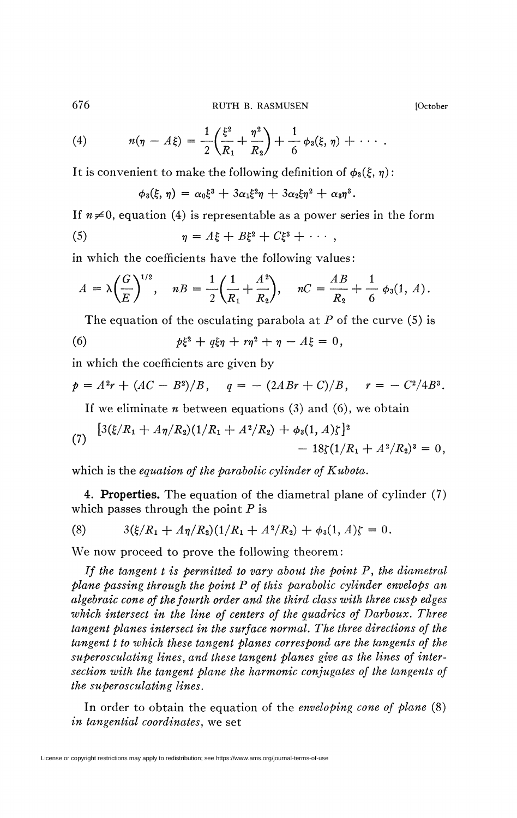(4) 
$$
n(\eta - A\xi) = \frac{1}{2} \left( \frac{\xi^2}{R_1} + \frac{\eta^2}{R_2} \right) + \frac{1}{6} \phi_3(\xi, \eta) + \cdots
$$

It is convenient to make the following definition of  $\phi_3(\xi, \eta)$ :

$$
\phi_3(\xi,\eta)=\alpha_0\xi^3+3\alpha_1\xi^2\eta+3\alpha_2\xi\eta^2+\alpha_3\eta^3.
$$

If  $n \neq 0$ , equation (4) is representable as a power series in the form (5)  $\eta = A \xi + B \xi^2 + C \xi^3 + \cdots,$ 

in which the coefficients have the following values :

$$
A = \lambda \left(\frac{G}{E}\right)^{1/2}, \quad nB = \frac{1}{2} \left(\frac{1}{R_1} + \frac{A^2}{R_2}\right), \quad nC = \frac{AB}{R_2} + \frac{1}{6} \phi_3(1, A).
$$

The equation of the osculating parabola at *P* of the curve (5) is

(6) 
$$
p\xi^2 + q\xi\eta + r\eta^2 + \eta - A\xi = 0,
$$

in which the coefficients are given by

$$
p = A^2r + (AC - B^2)/B
$$
,  $q = - (2ABr + C)/B$ ,  $r = -C^2/4B^3$ .

If we eliminate *n* between equations (3) and (6), we obtain

(7) 
$$
\begin{aligned} \left[3(\xi/R_1+A\eta/R_2)(1/R_1+A^2/R_2)+\phi_3(1,A)\zeta\right]^2 &-18\zeta(1/R_1+A^2/R_2)^3=0, \end{aligned}
$$

which is the *equation of the parabolic cylinder of Kubota.* 

4. **Properties.** The equation of the diametral plane of cylinder (7) which passes through the point *P* is

(8) 
$$
3(\xi/R_1 + A\eta/R_2)(1/R_1 + A^2/R_2) + \phi_3(1, A)\zeta = 0.
$$

We now proceed to prove the following theorem:

*If the tangent t is permitted to vary about the point P, the diametral plane passing through the point P of this parabolic cylinder envelops an algebraic cone of the fourth order and the third class with three cusp edges which intersect in the line of centers of the quadrics of Darboux. Three tangent planes intersect in the surface normal. The three directions of the tangent t to which these tangent planes correspond are the tangents of the super osculating lines, and these tangent planes give as the lines of intersection with the tangent plane the harmonic conjugates of the tangents of the super osculating lines.* 

In order to obtain the equation of the *enveloping cone of plane* (8) *in tangential coordinates,* we set